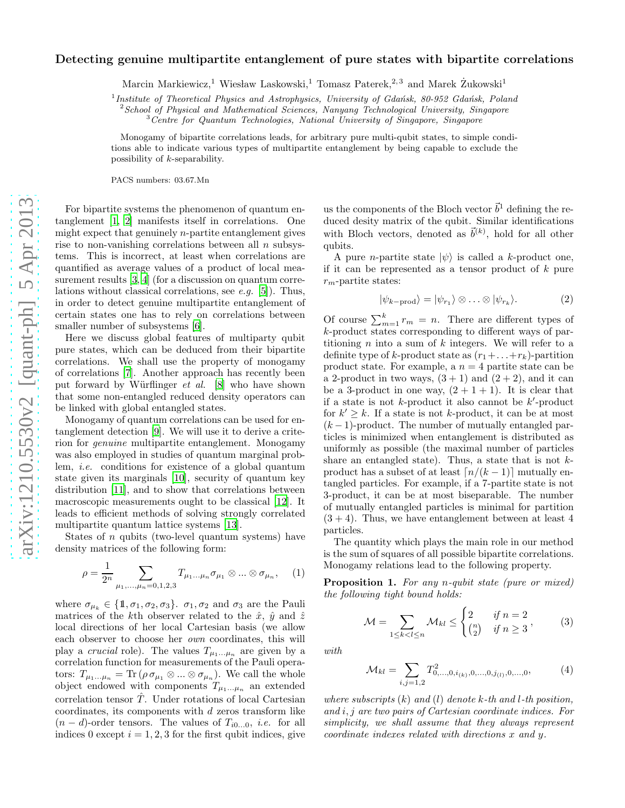## Detecting genuine multipartite entanglement of pure states with bipartite correlations

Marcin Markiewicz,<sup>1</sup> Wiesław Laskowski,<sup>1</sup> Tomasz Paterek,<sup>2,3</sup> and Marek  $\dot{Z}$ ukowski<sup>1</sup>

<sup>1</sup> Institute of Theoretical Physics and Astrophysics, University of Gdańsk, 80-952 Gdańsk, Poland

 $2$ School of Physical and Mathematical Sciences, Nanyang Technological University, Singapore

<sup>3</sup> Centre for Quantum Technologies, National University of Singapore, Singapore

Monogamy of bipartite correlations leads, for arbitrary pure multi-qubit states, to simple conditions able to indicate various types of multipartite entanglement by being capable to exclude the possibility of k-separability.

PACS numbers: 03.67.Mn

For bipartite systems the phenomenon of quantum entanglement [\[1,](#page-3-0) [2\]](#page-3-1) manifests itself in correlations. One might expect that genuinely  $n$ -partite entanglement gives rise to non-vanishing correlations between all  $n$  subsystems. This is incorrect, at least when correlations are quantified as average values of a product of local measurement results [\[3](#page-3-2), [4](#page-3-3)] (for a discussion on quantum correlations without classical correlations, see *e.g.* [\[5\]](#page-3-4)). Thus, in order to detect genuine multipartite entanglement of certain states one has to rely on correlations between smaller number of subsystems [\[6\]](#page-3-5).

Here we discuss global features of multiparty qubit pure states, which can be deduced from their bipartite correlations. We shall use the property of monogamy of correlations [\[7\]](#page-3-6). Another approach has recently been put forward by Würflinger *et al.* [\[8](#page-3-7)] who have shown that some non-entangled reduced density operators can be linked with global entangled states.

Monogamy of quantum correlations can be used for entanglement detection [\[9](#page-3-8)]. We will use it to derive a criterion for *genuine* multipartite entanglement. Monogamy was also employed in studies of quantum marginal problem, *i.e.* conditions for existence of a global quantum state given its marginals [\[10\]](#page-3-9), security of quantum key distribution [\[11](#page-3-10)], and to show that correlations between macroscopic measurements ought to be classical [\[12\]](#page-3-11). It leads to efficient methods of solving strongly correlated multipartite quantum lattice systems [\[13\]](#page-3-12).

States of n qubits (two-level quantum systems) have density matrices of the following form:

 $\overline{1}$ 

$$
\rho = \frac{1}{2^n} \sum_{\mu_1, \dots, \mu_n = 0, 1, 2, 3} T_{\mu_1 \dots \mu_n} \sigma_{\mu_1} \otimes \dots \otimes \sigma_{\mu_n}, \quad (1)
$$

where  $\sigma_{\mu_k} \in \{1, \sigma_1, \sigma_2, \sigma_3\}$ .  $\sigma_1, \sigma_2$  and  $\sigma_3$  are the Pauli matrices of the k<sup>th</sup> observer related to the  $\hat{x}$ ,  $\hat{y}$  and  $\hat{z}$ local directions of her local Cartesian basis (we allow each observer to choose her *own* coordinates, this will play a *crucial* role). The values  $T_{\mu_1...\mu_n}$  are given by a correlation function for measurements of the Pauli operators:  $T_{\mu_1...\mu_n} = \text{Tr}\,(\rho\,\sigma_{\mu_1} \otimes ... \otimes \sigma_{\mu_n}).$  We call the whole object endowed with components  $T_{\mu_1...\mu_n}$  an extended correlation tensor  $\hat{T}$ . Under rotations of local Cartesian coordinates, its components with d zeros transform like  $(n - d)$ -order tensors. The values of  $T_{i0...0}$ , *i.e.* for all indices 0 except  $i = 1, 2, 3$  for the first qubit indices, give

us the components of the Bloch vector  $\vec{b}^1$  defining the reduced desity matrix of the qubit. Similar identifications with Bloch vectors, denoted as  $\vec{b}^{(k)}$ , hold for all other qubits.

A pure *n*-partite state  $|\psi\rangle$  is called a k-product one, if it can be represented as a tensor product of  $k$  pure  $r_m$ -partite states:

$$
|\psi_{k-\text{prod}}\rangle = |\psi_{r_1}\rangle \otimes \ldots \otimes |\psi_{r_k}\rangle. \tag{2}
$$

Of course  $\sum_{m=1}^{k} r_m = n$ . There are different types of k-product states corresponding to different ways of partitioning  $n$  into a sum of  $k$  integers. We will refer to a definite type of k-product state as  $(r_1+\ldots+r_k)$ -partition product state. For example, a  $n = 4$  partite state can be a 2-product in two ways,  $(3 + 1)$  and  $(2 + 2)$ , and it can be a 3-product in one way,  $(2 + 1 + 1)$ . It is clear that if a state is not  $k$ -product it also cannot be  $k'$ -product for  $k' \geq k$ . If a state is not k-product, it can be at most  $(k-1)$ -product. The number of mutually entangled particles is minimized when entanglement is distributed as uniformly as possible (the maximal number of particles share an entangled state). Thus, a state that is not  $k$ product has a subset of at least  $\lceil n/(k-1) \rceil$  mutually entangled particles. For example, if a 7-partite state is not 3-product, it can be at most biseparable. The number of mutually entangled particles is minimal for partition  $(3 + 4)$ . Thus, we have entanglement between at least 4 particles.

The quantity which plays the main role in our method is the sum of squares of all possible bipartite correlations. Monogamy relations lead to the following property.

Proposition 1. *For any* n*-qubit state (pure or mixed) the following tight bound holds:*

$$
\mathcal{M} = \sum_{1 \le k < l \le n} \mathcal{M}_{kl} \le \begin{cases} 2 & \text{if } n = 2 \\ \binom{n}{2} & \text{if } n \ge 3 \end{cases}, \tag{3}
$$

*with*

<span id="page-0-0"></span>
$$
\mathcal{M}_{kl} = \sum_{i,j=1,2} T_{0,\ldots,0,i_{(k)},0,\ldots,0,j_{(l)},0,\ldots,0}^{2},\tag{4}
$$

*where subscripts* (k) *and* (l) *denote* k*-th and* l*-th position, and* i, j *are two pairs of Cartesian coordinate indices. For simplicity, we shall assume that they always represent coordinate indexes related with directions* x *and* y*.*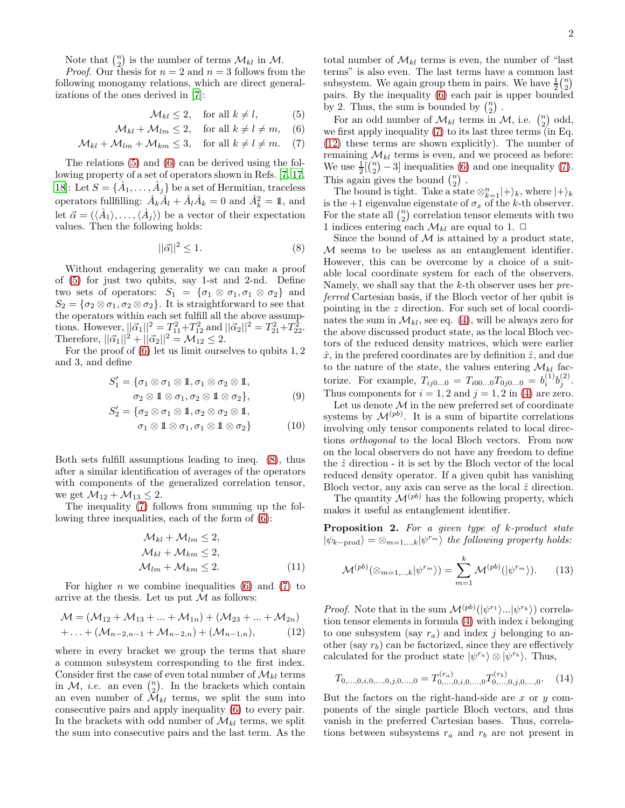Note that  $\binom{n}{2}$  is the number of terms  $\mathcal{M}_{kl}$  in  $\mathcal{M}$ .

*Proof.* Our thesis for  $n = 2$  and  $n = 3$  follows from the following monogamy relations, which are direct generalizations of the ones derived in [\[7\]](#page-3-6):

<span id="page-1-0"></span>
$$
\mathcal{M}_{kl} \le 2, \quad \text{for all } k \ne l,
$$
 (5)

$$
\mathcal{M}_{kl} + \mathcal{M}_{lm} \le 2, \quad \text{for all } k \ne l \ne m, \quad (6)
$$

$$
\mathcal{M}_{kl} + \mathcal{M}_{lm} + \mathcal{M}_{km} \le 3, \quad \text{for all } k \ne l \ne m. \tag{7}
$$

The relations [\(5\)](#page-1-0) and [\(6\)](#page-1-0) can be derived using the following property of a set of operators shown in Refs. [\[7](#page-3-6), [17](#page-3-13), [18\]](#page-3-14): Let  $S = \{ \hat{A}_1, \ldots, \hat{A}_j \}$  be a set of Hermitian, traceless operators fullfilling:  $\hat{A}_k \hat{A}_l + \hat{A}_l \hat{A}_k = 0$  and  $\hat{A}_k^2 = 1$ , and let  $\vec{\alpha} = (\langle \hat{A}_1 \rangle, \dots, \langle \hat{A}_j \rangle)$  be a vector of their expectation values. Then the following holds:

<span id="page-1-1"></span>
$$
||\vec{\alpha}||^2 \le 1. \tag{8}
$$

Without endagering generality we can make a proof of [\(5\)](#page-1-0) for just two qubits, say 1-st and 2-nd. Define two sets of operators:  $S_1 = {\sigma_1 \otimes \sigma_1, \sigma_1 \otimes \sigma_2}$  and  $S_2 = \{\sigma_2 \otimes \sigma_1, \sigma_2 \otimes \sigma_2\}.$  It is straightforward to see that the operators within each set fulfill all the above assumptions. However,  $||\vec{\alpha}_1||^2 = T_{11}^2 + T_{12}^2$  and  $||\vec{\alpha}_2||^2 = T_{21}^2 + T_{22}^2$ . Therefore,  $||\vec{\alpha_1}||^2 + ||\vec{\alpha_2}||^2 = \mathcal{M}_{12}^2 \leq 2$ .

For the proof of  $(6)$  let us limit ourselves to qubits  $1, 2$ and 3, and define

$$
S'_1 = \{ \sigma_1 \otimes \sigma_1 \otimes \mathbb{1}, \sigma_1 \otimes \sigma_2 \otimes \mathbb{1}, \sigma_2 \otimes \mathbb{1} \otimes \sigma_1, \sigma_2 \otimes \mathbb{1} \otimes \sigma_2 \},
$$
\n(9)

$$
S'_2 = \{ \sigma_2 \otimes \sigma_1 \otimes \mathbb{1}, \sigma_2 \otimes \sigma_2 \otimes \mathbb{1}, \sigma_1 \otimes \mathbb{1} \otimes \sigma_1, \sigma_1 \otimes \mathbb{1} \otimes \sigma_2 \} \tag{10}
$$

Both sets fulfill assumptions leading to ineq. [\(8\)](#page-1-1), thus after a similar identification of averages of the operators with components of the generalized correlation tensor, we get  $\mathcal{M}_{12} + \mathcal{M}_{13} \leq 2$ .

The inequality [\(7\)](#page-1-0) follows from summing up the following three inequalities, each of the form of [\(6\)](#page-1-0):

$$
\mathcal{M}_{kl} + \mathcal{M}_{lm} \le 2,
$$
  
\n
$$
\mathcal{M}_{kl} + \mathcal{M}_{km} \le 2,
$$
  
\n
$$
\mathcal{M}_{lm} + \mathcal{M}_{km} \le 2.
$$
\n(11)

For higher *n* we combine inequalities [\(6\)](#page-1-0) and [\(7\)](#page-1-0) to arrive at the thesis. Let us put  $M$  as follows:

<span id="page-1-2"></span>
$$
\mathcal{M} = (\mathcal{M}_{12} + \mathcal{M}_{13} + \dots + \mathcal{M}_{1n}) + (\mathcal{M}_{23} + \dots + \mathcal{M}_{2n})
$$
  
+ \dots + (\mathcal{M}\_{n-2,n-1} + \mathcal{M}\_{n-2,n}) + (\mathcal{M}\_{n-1,n}), (12)

where in every bracket we group the terms that share a common subsystem corresponding to the first index. Consider first the case of even total number of  $\mathcal{M}_{kl}$  terms in  $M$ , *i.e.* an even  $\binom{n}{2}$ . In the brackets which contain an even number of  $\mathcal{M}_{kl}$  terms, we split the sum into consecutive pairs and apply inequality [\(6\)](#page-1-0) to every pair. In the brackets with odd number of  $\mathcal{M}_{kl}$  terms, we split the sum into consecutive pairs and the last term. As the

2

total number of  $\mathcal{M}_{kl}$  terms is even, the number of "last" terms" is also even. The last terms have a common last subsystem. We again group them in pairs. We have  $\frac{1}{2} {n \choose 2}$ pairs. By the inequality [\(6\)](#page-1-0) each pair is upper bounded by 2. Thus, the sum is bounded by  $\binom{n}{2}$ .

For an odd number of  $\mathcal{M}_{kl}$  terms in  $\mathcal{M}$ , i.e.  $\binom{n}{2}$  odd, we first apply inequality [\(7\)](#page-1-0) to its last three terms (in Eq. [\(12\)](#page-1-2) these terms are shown explicitly). The number of remaining  $\mathcal{M}_{kl}$  terms is even, and we proceed as before: We use  $\frac{1}{2} \left[ \binom{n}{2} - 3 \right]$  inequalities [\(6\)](#page-1-0) and one inequality [\(7\)](#page-1-0). This again gives the bound  $\binom{n}{2}$ .

The bound is tight. Take a state  $\otimes_{k=1}^{n} |+\rangle_{k}$ , where  $|+\rangle_{k}$ is the +1 eigenvalue eigenstate of  $\sigma_x$  of the k-th observer. For the state all  $\binom{n}{2}$  correlation tensor elements with two 1 indices entering each  $\mathcal{M}_{kl}$  are equal to 1.  $\Box$ 

Since the bound of  $M$  is attained by a product state, M seems to be useless as an entanglement identifier. However, this can be overcome by a choice of a suitable local coordinate system for each of the observers. Namely, we shall say that the k-th observer uses her *preferred* Cartesian basis, if the Bloch vector of her qubit is pointing in the z direction. For such set of local coordinates the sum in  $\mathcal{M}_{kl}$ , see eq. [\(4\)](#page-0-0), will be always zero for the above discussed product state, as the local Bloch vectors of the reduced density matrices, which were earlier  $\hat{x}$ , in the prefered coordinates are by definition  $\hat{z}$ , and due to the nature of the state, the values entering  $\mathcal{M}_{kl}$  factorize. For example,  $T_{ij0...0} = T_{i00...0} T_{0j0...0} = b_i^{(1)}$  $\binom{1}{i}b_j^{(2)}$  $\frac{(2)}{j}$ . Thus components for  $i = 1, 2$  and  $j = 1, 2$  in [\(4\)](#page-0-0) are zero.

Let us denote  $\mathcal M$  in the new preferred set of coordinate systems by  $\mathcal{M}^{(pb)}$ . It is a sum of bipartite correlations involving only tensor components related to local directions *orthogonal* to the local Bloch vectors. From now on the local observers do not have any freedom to define the  $\hat{z}$  direction - it is set by the Bloch vector of the local reduced density operator. If a given qubit has vanishing Bloch vector, any axis can serve as the local  $\hat{z}$  direction.

The quantity  $\mathcal{M}^{(pb)}$  has the following property, which makes it useful as entanglement identifier.

Proposition 2. *For a given type of* k*-product state*  $|\psi_{k-prod}\rangle = \otimes_{m=1,..,k} |\psi^{r_m}\rangle$  the following property holds:

<span id="page-1-3"></span>
$$
\mathcal{M}^{(pb)}(\otimes_{m=1,\dots,k}|\psi^{r_m}\rangle) = \sum_{m=1}^k \mathcal{M}^{(pb)}(|\psi^{r_m}\rangle). \tag{13}
$$

*Proof.* Note that in the sum  $\mathcal{M}^{(pb)}(|\psi^{r_1}\rangle...\psi^{r_k}\rangle)$  correlation tensor elements in formula  $(4)$  with index *i* belonging to one subsystem (say  $r_a$ ) and index j belonging to another (say  $r_b$ ) can be factorized, since they are effectively calculated for the product state  $|\psi^{r_a}\rangle \otimes |\psi^{r_b}\rangle$ . Thus,

$$
T_{0,\ldots,0,i,0,\ldots,0,j,0,\ldots,0} = T_{0,\ldots,0,i,0,\ldots,0}^{(r_a)} T_{0,\ldots,0,j,0,\ldots,0}^{(r_b)}.
$$
 (14)

But the factors on the right-hand-side are x or  $y$  components of the single particle Bloch vectors, and thus vanish in the preferred Cartesian bases. Thus, correlations between subsystems  $r_a$  and  $r_b$  are not present in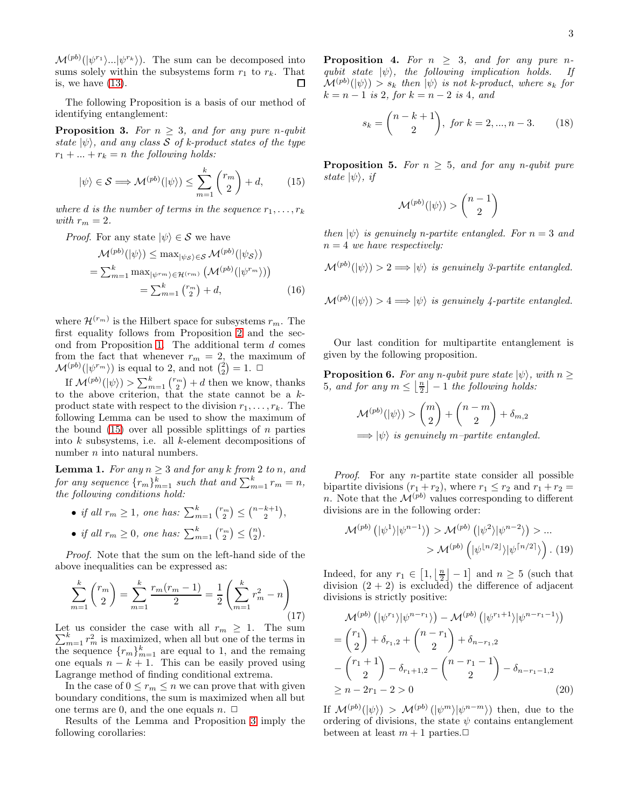$\mathcal{M}^{(pb)}(|\psi^{r_1}\rangle...\psi^{r_k}\rangle)$ . The sum can be decomposed into sums solely within the subsystems form  $r_1$  to  $r_k$ . That is, we have  $(13)$ . П

The following Proposition is a basis of our method of identifying entanglement:

**Proposition 3.** For  $n \geq 3$ , and for any pure *n*-qubit *state*  $|\psi\rangle$ *, and any class* S *of k-product states of the type*  $r_1 + \ldots + r_k = n$  the following holds:

<span id="page-2-0"></span>
$$
|\psi\rangle \in \mathcal{S} \Longrightarrow \mathcal{M}^{(pb)}(|\psi\rangle) \le \sum_{m=1}^{k} \binom{r_m}{2} + d,\qquad(15)
$$

*where d is the number of terms in the sequence*  $r_1, \ldots, r_k$ *with*  $r_m = 2$ *.* 

*Proof.* For any state  $|\psi\rangle \in S$  we have

$$
\mathcal{M}^{(pb)}(|\psi\rangle) \le \max_{|\psi_{\mathcal{S}}\rangle \in \mathcal{S}} \mathcal{M}^{(pb)}(|\psi_{\mathcal{S}}\rangle)
$$
  
=  $\sum_{m=1}^{k} \max_{|\psi^{rm}\rangle \in \mathcal{H}^{(rm)}} \left( \mathcal{M}^{(pb)}(|\psi^{rm}) \right)$   
=  $\sum_{m=1}^{k} {m \choose 2} + d,$  (16)

where  $\mathcal{H}^{(r_m)}$  is the Hilbert space for subsystems  $r_m$ . The first equality follows from Proposition [2](#page-1-3) and the sec-ond from Proposition [1.](#page-0-0) The additional term  $d$  comes from the fact that whenever  $r_m = 2$ , the maximum of  $\mathcal{M}^{(pb)}(|\psi^{r_m}\rangle)$  is equal to 2, and not  $\binom{2}{2} = 1$ .  $\Box$ 

If  $\mathcal{M}^{(pb)}(|\psi\rangle) > \sum_{m=1}^{k} {\binom{r_m}{2}} + d$  then we know, thanks to the above criterion, that the state cannot be a kproduct state with respect to the division  $r_1, \ldots, r_k$ . The following Lemma can be used to show the maximum of the bound  $(15)$  over all possible splittings of *n* parties into k subsystems, i.e. all k-element decompositions of number *n* into natural numbers.

**Lemma 1.** For any  $n \geq 3$  and for any k from 2 to n, and for any sequence  $\{r_m\}_{m=1}^k$  such that and  $\sum_{m=1}^k r_m = n$ , *the following conditions hold:*

• *if all*  $r_m \ge 1$ , one has:  $\sum_{m=1}^{k} {\binom{r_m}{2}} \le {\binom{n-k+1}{2}}$ , • *if all*  $r_m \ge 0$ , one has:  $\sum_{m=1}^{k} {\binom{r_m}{2}} \le {\binom{n}{2}}$ .

*Proof.* Note that the sum on the left-hand side of the above inequalities can be expressed as:

$$
\sum_{m=1}^{k} {r_m \choose 2} = \sum_{m=1}^{k} \frac{r_m(r_m - 1)}{2} = \frac{1}{2} \left( \sum_{m=1}^{k} r_m^2 - n \right)
$$
\n(17)

P Let us consider the case with all  $r_m \geq 1$ . The sum  $\sum_{m=1}^{k} r_m^2$  is maximized, when all but one of the terms in the sequence  $\{r_m\}_{m=1}^k$  are equal to 1, and the remaing one equals  $n - k + 1$ . This can be easily proved using Lagrange method of finding conditional extrema.

In the case of  $0 \leq r_m \leq n$  we can prove that with given boundary conditions, the sum is maximized when all but one terms are 0, and the one equals  $n. \Box$ 

Results of the Lemma and Proposition [3](#page-2-0) imply the following corollaries:

**Proposition 4.** For  $n \geq 3$ , and for any pure n*qubit state*  $|\psi\rangle$ *, the following implication holds. If*  $\mathcal{M}^{(pb)}(\ket{\psi}) > s_k$  then  $\ket{\psi}$  is not k-product, where  $s_k$  for  $k = n - 1$  *is* 2*, for*  $k = n - 2$  *is* 4*, and* 

$$
s_k = \binom{n-k+1}{2}, \text{ for } k = 2, ..., n-3. \tag{18}
$$

<span id="page-2-1"></span>**Proposition 5.** *For*  $n \geq 5$ *, and for any n-qubit pure state*  $|\psi\rangle$ *, if* 

$$
\mathcal{M}^{(pb)}(|\psi\rangle) > \binom{n-1}{2}
$$

*then*  $|\psi\rangle$  *is genuinely n-partite entangled. For*  $n = 3$  *and*  $n = 4$  *we have respectively:* 

 $\mathcal{M}^{(pb)}(|\psi\rangle) > 2 \Longrightarrow |\psi\rangle$  is genuinely 3-partite entangled.

$$
\mathcal{M}^{(pb)}(|\psi\rangle) > 4 \Longrightarrow |\psi\rangle \text{ is genuinely 4-partite entangled.}
$$

Our last condition for multipartite entanglement is given by the following proposition.

<span id="page-2-2"></span>**Proposition 6.** *For any n-qubit pure state*  $|\psi\rangle$ *, with*  $n \geq$  $5, \text{ and for any } m \leq \lfloor \frac{n}{2} \rfloor - 1 \text{ the following holds:}$ 

$$
\mathcal{M}^{(pb)}(|\psi\rangle) > \binom{m}{2} + \binom{n-m}{2} + \delta_{m,2}
$$

 $\implies$   $|\psi\rangle$  *is genuinely m-partite entangled.* 

*Proof*. For any n-partite state consider all possible bipartite divisions  $(r_1 + r_2)$ , where  $r_1 \le r_2$  and  $r_1 + r_2 =$ n. Note that the  $\mathcal{M}^{(pb)}$  values corresponding to different divisions are in the following order:

$$
\mathcal{M}^{(pb)}\left(|\psi^1\rangle|\psi^{n-1}\rangle\right) > \mathcal{M}^{(pb)}\left(|\psi^2\rangle|\psi^{n-2}\rangle\right) > \dots > \mathcal{M}^{(pb)}\left(|\psi^{\lfloor n/2 \rfloor}\rangle|\psi^{\lceil n/2 \rceil}\rangle\right). (19)
$$

Indeed, for any  $r_1 \in [1, \lfloor \frac{n}{2} \rfloor - 1]$  and  $n \geq 5$  (such that division  $(2 + 2)$  is excluded) the difference of adjacent divisions is strictly positive:

$$
\mathcal{M}^{(pb)}\left(|\psi^{r_1}\rangle|\psi^{n-r_1}\rangle\right) - \mathcal{M}^{(pb)}\left(|\psi^{r_1+1}\rangle|\psi^{n-r_1-1}\rangle\right)
$$

$$
= \binom{r_1}{2} + \delta_{r_1,2} + \binom{n-r_1}{2} + \delta_{n-r_1,2}
$$

$$
- \binom{r_1+1}{2} - \delta_{r_1+1,2} - \binom{n-r_1-1}{2} - \delta_{n-r_1-1,2}
$$

$$
\ge n - 2r_1 - 2 > 0 \tag{20}
$$

If  $\mathcal{M}^{(pb)}(|\psi\rangle) > \mathcal{M}^{(pb)}(|\psi^m\rangle|\psi^{n-m}\rangle)$  then, due to the ordering of divisions, the state  $\psi$  contains entanglement between at least  $m + 1$  parties. $\Box$